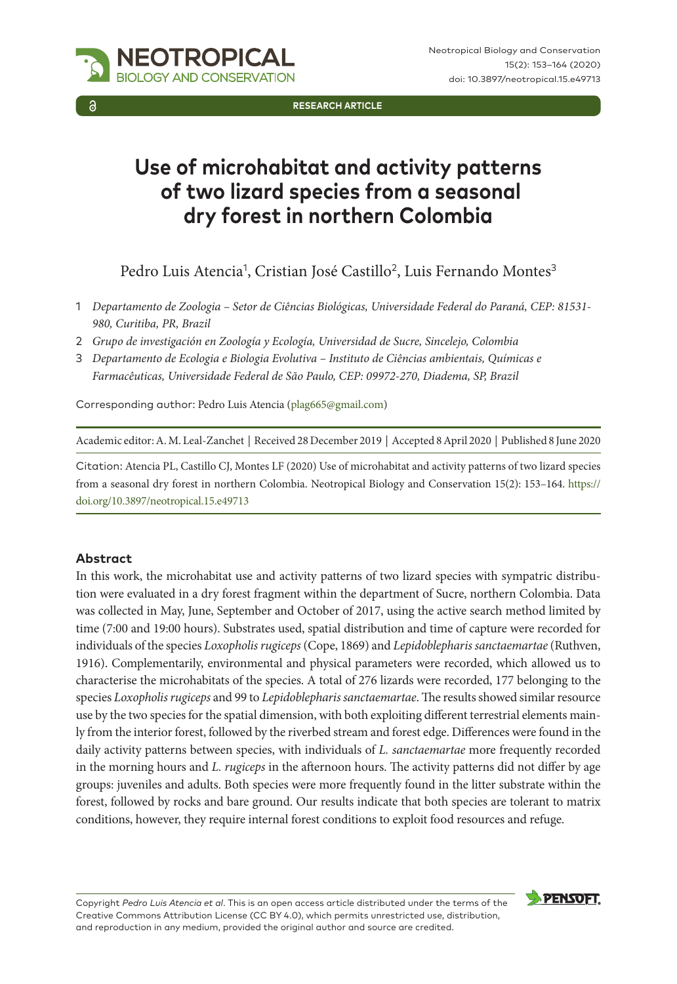**Research Article**

# **Use of microhabitat and activity patterns of two lizard species from a seasonal dry forest in northern Colombia**

Pedro Luis Atencia<sup>1</sup>, Cristian José Castillo<sup>2</sup>, Luis Fernando Montes<sup>3</sup>

- 1 *Departamento de Zoologia Setor de Ciências Biológicas, Universidade Federal do Paraná, CEP: 81531- 980, Curitiba, PR, Brazil*
- 2 *Grupo de investigación en Zoología y Ecología, Universidad de Sucre, Sincelejo, Colombia*
- 3 *Departamento de Ecologia e Biologia Evolutiva Instituto de Ciências ambientais, Químicas e Farmacêuticas, Universidade Federal de São Paulo, CEP: 09972-270, Diadema, SP, Brazil*

Corresponding author: Pedro Luis Atencia [\(plag665@gmail.com](mailto:plag665@gmail.com))

NEOTROPICAL GY AND CONSERVATION

Academic editor: A. M. Leal-Zanchet | Received 28 December 2019 | Accepted 8 April 2020 | Published 8 June 2020

Citation: Atencia PL, Castillo CJ, Montes LF (2020) Use of microhabitat and activity patterns of two lizard species from a seasonal dry forest in northern Colombia. Neotropical Biology and Conservation 15(2): 153–164. [https://](https://doi.org/10.3897/neotropical.15.e49713) [doi.org/10.3897/neotropical.15.e49713](https://doi.org/10.3897/neotropical.15.e49713)

#### **Abstract**

In this work, the microhabitat use and activity patterns of two lizard species with sympatric distribution were evaluated in a dry forest fragment within the department of Sucre, northern Colombia. Data was collected in May, June, September and October of 2017, using the active search method limited by time (7:00 and 19:00 hours). Substrates used, spatial distribution and time of capture were recorded for individuals of the species *Loxopholis rugiceps* (Cope, 1869) and *Lepidoblepharis sanctaemartae* (Ruthven, 1916). Complementarily, environmental and physical parameters were recorded, which allowed us to characterise the microhabitats of the species. A total of 276 lizards were recorded, 177 belonging to the species *Loxopholis rugiceps* and 99 to *Lepidoblepharis sanctaemartae*. The results showed similar resource use by the two species for the spatial dimension, with both exploiting different terrestrial elements mainly from the interior forest, followed by the riverbed stream and forest edge. Differences were found in the daily activity patterns between species, with individuals of *L. sanctaemartae* more frequently recorded in the morning hours and *L. rugiceps* in the afternoon hours. The activity patterns did not differ by age groups: juveniles and adults. Both species were more frequently found in the litter substrate within the forest, followed by rocks and bare ground. Our results indicate that both species are tolerant to matrix conditions, however, they require internal forest conditions to exploit food resources and refuge.

Copyright *Pedro Luis Atencia et al*. This is an open access article distributed under the terms of the [Creative Commons Attribution License \(CC BY 4.0\),](http://creativecommons.org/licenses/by/4.0/) which permits unrestricted use, distribution, and reproduction in any medium, provided the original author and source are credited.

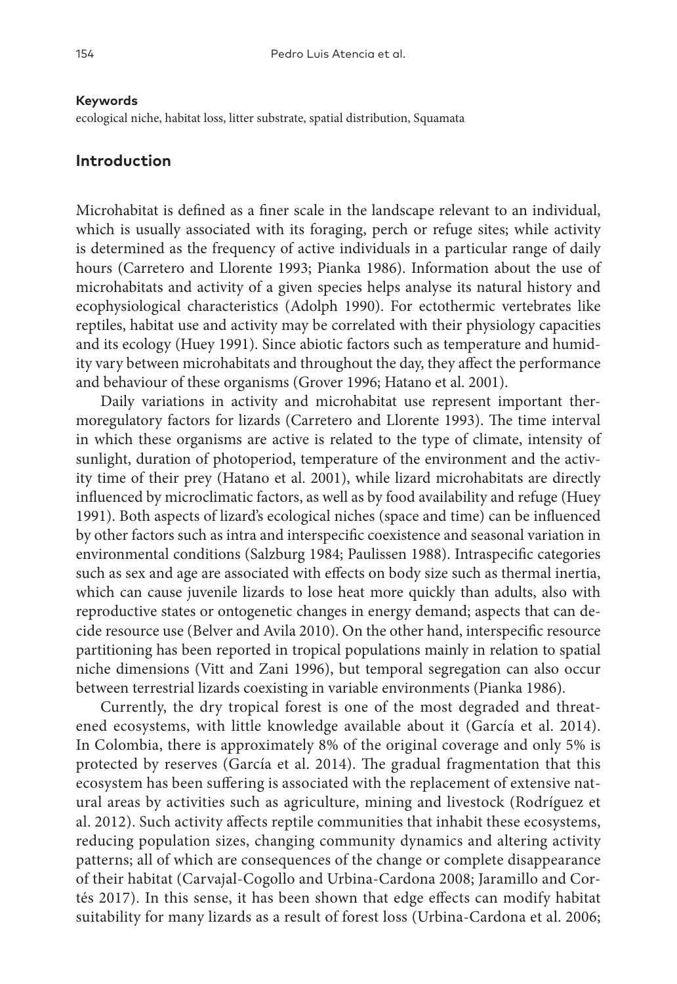#### **Keywords**

ecological niche, habitat loss, litter substrate, spatial distribution, Squamata

### **Introduction**

Microhabitat is defined as a finer scale in the landscape relevant to an individual, which is usually associated with its foraging, perch or refuge sites; while activity is determined as the frequency of active individuals in a particular range of daily hours (Carretero and Llorente 1993; Pianka 1986). Information about the use of microhabitats and activity of a given species helps analyse its natural history and ecophysiological characteristics (Adolph 1990). For ectothermic vertebrates like reptiles, habitat use and activity may be correlated with their physiology capacities and its ecology (Huey 1991). Since abiotic factors such as temperature and humidity vary between microhabitats and throughout the day, they affect the performance and behaviour of these organisms (Grover 1996; Hatano et al. 2001).

Daily variations in activity and microhabitat use represent important thermoregulatory factors for lizards (Carretero and Llorente 1993). The time interval in which these organisms are active is related to the type of climate, intensity of sunlight, duration of photoperiod, temperature of the environment and the activity time of their prey (Hatano et al. 2001), while lizard microhabitats are directly influenced by microclimatic factors, as well as by food availability and refuge (Huey 1991). Both aspects of lizard's ecological niches (space and time) can be influenced by other factors such as intra and interspecific coexistence and seasonal variation in environmental conditions (Salzburg 1984; Paulissen 1988). Intraspecific categories such as sex and age are associated with effects on body size such as thermal inertia, which can cause juvenile lizards to lose heat more quickly than adults, also with reproductive states or ontogenetic changes in energy demand; aspects that can decide resource use (Belver and Avila 2010). On the other hand, interspecific resource partitioning has been reported in tropical populations mainly in relation to spatial niche dimensions (Vitt and Zani 1996), but temporal segregation can also occur between terrestrial lizards coexisting in variable environments (Pianka 1986).

Currently, the dry tropical forest is one of the most degraded and threatened ecosystems, with little knowledge available about it (García et al. 2014). In Colombia, there is approximately 8% of the original coverage and only 5% is protected by reserves (García et al. 2014). The gradual fragmentation that this ecosystem has been suffering is associated with the replacement of extensive natural areas by activities such as agriculture, mining and livestock (Rodríguez et al. 2012). Such activity affects reptile communities that inhabit these ecosystems, reducing population sizes, changing community dynamics and altering activity patterns; all of which are consequences of the change or complete disappearance of their habitat (Carvajal-Cogollo and Urbina-Cardona 2008; Jaramillo and Cortés 2017). In this sense, it has been shown that edge effects can modify habitat suitability for many lizards as a result of forest loss (Urbina-Cardona et al. 2006;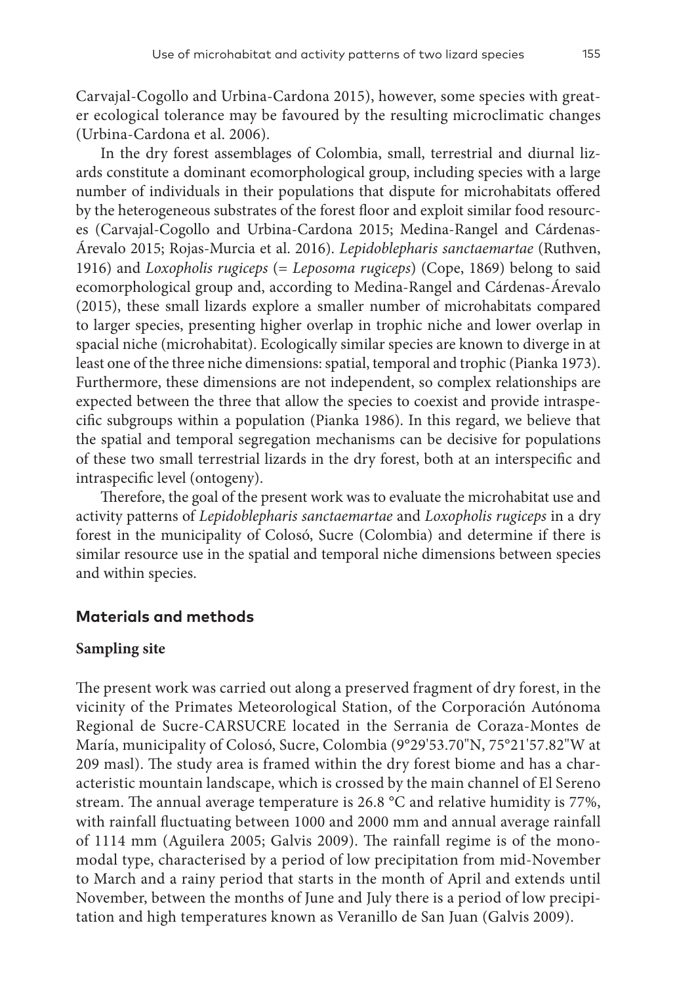Carvajal-Cogollo and Urbina-Cardona 2015), however, some species with greater ecological tolerance may be favoured by the resulting microclimatic changes (Urbina-Cardona et al. 2006).

In the dry forest assemblages of Colombia, small, terrestrial and diurnal lizards constitute a dominant ecomorphological group, including species with a large number of individuals in their populations that dispute for microhabitats offered by the heterogeneous substrates of the forest floor and exploit similar food resources (Carvajal-Cogollo and Urbina-Cardona 2015; Medina-Rangel and Cárdenas-Árevalo 2015; Rojas-Murcia et al. 2016). *Lepidoblepharis sanctaemartae* (Ruthven, 1916) and *Loxopholis rugiceps* (= *Leposoma rugiceps*) (Cope, 1869) belong to said ecomorphological group and, according to Medina-Rangel and Cárdenas-Árevalo (2015), these small lizards explore a smaller number of microhabitats compared to larger species, presenting higher overlap in trophic niche and lower overlap in spacial niche (microhabitat). Ecologically similar species are known to diverge in at least one of the three niche dimensions: spatial, temporal and trophic (Pianka 1973). Furthermore, these dimensions are not independent, so complex relationships are expected between the three that allow the species to coexist and provide intraspecific subgroups within a population (Pianka 1986). In this regard, we believe that the spatial and temporal segregation mechanisms can be decisive for populations of these two small terrestrial lizards in the dry forest, both at an interspecific and intraspecific level (ontogeny).

Therefore, the goal of the present work was to evaluate the microhabitat use and activity patterns of *Lepidoblepharis sanctaemartae* and *Loxopholis rugiceps* in a dry forest in the municipality of Colosó, Sucre (Colombia) and determine if there is similar resource use in the spatial and temporal niche dimensions between species and within species.

## **Materials and methods**

### **Sampling site**

The present work was carried out along a preserved fragment of dry forest, in the vicinity of the Primates Meteorological Station, of the Corporación Autónoma Regional de Sucre-CARSUCRE located in the Serrania de Coraza-Montes de María, municipality of Colosó, Sucre, Colombia (9°29'53.70"N, 75°21'57.82"W at 209 masl). The study area is framed within the dry forest biome and has a characteristic mountain landscape, which is crossed by the main channel of El Sereno stream. The annual average temperature is 26.8 °C and relative humidity is 77%, with rainfall fluctuating between 1000 and 2000 mm and annual average rainfall of 1114 mm (Aguilera 2005; Galvis 2009). The rainfall regime is of the monomodal type, characterised by a period of low precipitation from mid-November to March and a rainy period that starts in the month of April and extends until November, between the months of June and July there is a period of low precipitation and high temperatures known as Veranillo de San Juan (Galvis 2009).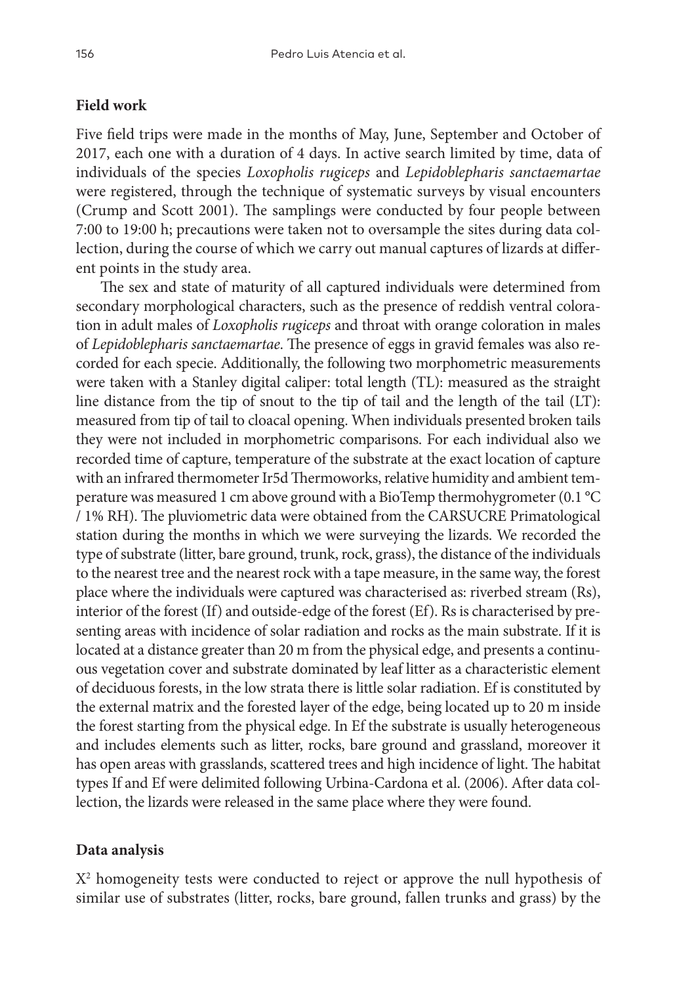## **Field work**

Five field trips were made in the months of May, June, September and October of 2017, each one with a duration of 4 days. In active search limited by time, data of individuals of the species *Loxopholis rugiceps* and *Lepidoblepharis sanctaemartae* were registered, through the technique of systematic surveys by visual encounters (Crump and Scott 2001). The samplings were conducted by four people between 7:00 to 19:00 h; precautions were taken not to oversample the sites during data collection, during the course of which we carry out manual captures of lizards at different points in the study area.

The sex and state of maturity of all captured individuals were determined from secondary morphological characters, such as the presence of reddish ventral coloration in adult males of *Loxopholis rugiceps* and throat with orange coloration in males of *Lepidoblepharis sanctaemartae*. The presence of eggs in gravid females was also recorded for each specie. Additionally, the following two morphometric measurements were taken with a Stanley digital caliper: total length (TL): measured as the straight line distance from the tip of snout to the tip of tail and the length of the tail (LT): measured from tip of tail to cloacal opening. When individuals presented broken tails they were not included in morphometric comparisons. For each individual also we recorded time of capture, temperature of the substrate at the exact location of capture with an infrared thermometer Ir5d Thermoworks, relative humidity and ambient temperature was measured 1 cm above ground with a BioTemp thermohygrometer (0.1 °C / 1% RH). The pluviometric data were obtained from the CARSUCRE Primatological station during the months in which we were surveying the lizards. We recorded the type of substrate (litter, bare ground, trunk, rock, grass), the distance of the individuals to the nearest tree and the nearest rock with a tape measure, in the same way, the forest place where the individuals were captured was characterised as: riverbed stream (Rs), interior of the forest (If) and outside-edge of the forest (Ef). Rs is characterised by presenting areas with incidence of solar radiation and rocks as the main substrate. If it is located at a distance greater than 20 m from the physical edge, and presents a continuous vegetation cover and substrate dominated by leaf litter as a characteristic element of deciduous forests, in the low strata there is little solar radiation. Ef is constituted by the external matrix and the forested layer of the edge, being located up to 20 m inside the forest starting from the physical edge. In Ef the substrate is usually heterogeneous and includes elements such as litter, rocks, bare ground and grassland, moreover it has open areas with grasslands, scattered trees and high incidence of light. The habitat types If and Ef were delimited following Urbina-Cardona et al. (2006). After data collection, the lizards were released in the same place where they were found.

## **Data analysis**

X2 homogeneity tests were conducted to reject or approve the null hypothesis of similar use of substrates (litter, rocks, bare ground, fallen trunks and grass) by the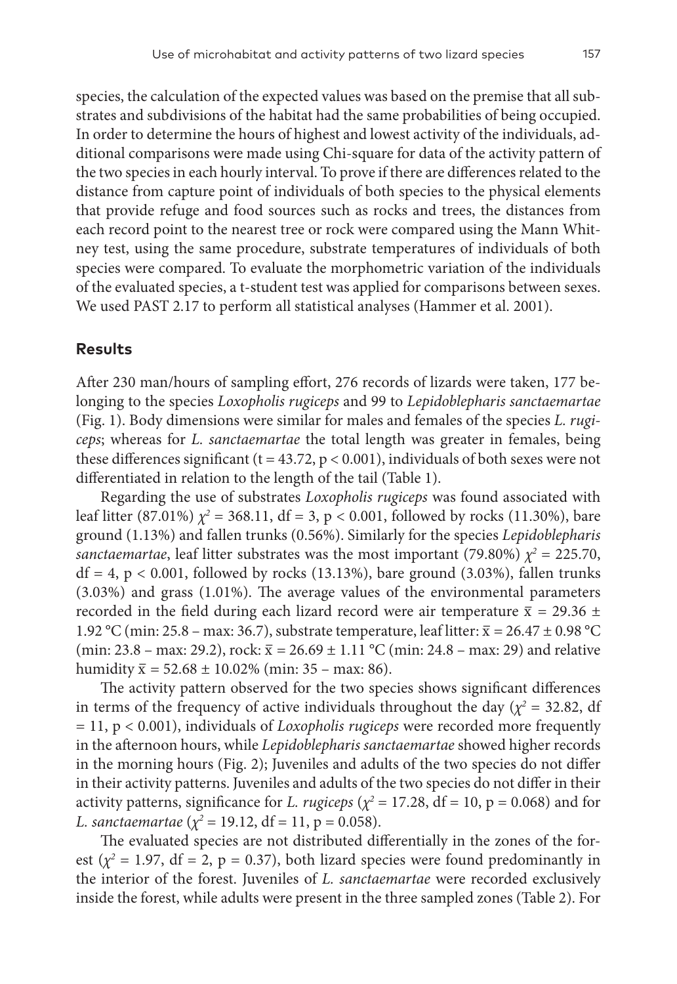species, the calculation of the expected values was based on the premise that all substrates and subdivisions of the habitat had the same probabilities of being occupied. In order to determine the hours of highest and lowest activity of the individuals, additional comparisons were made using Chi-square for data of the activity pattern of the two species in each hourly interval. To prove if there are differences related to the distance from capture point of individuals of both species to the physical elements that provide refuge and food sources such as rocks and trees, the distances from each record point to the nearest tree or rock were compared using the Mann Whitney test, using the same procedure, substrate temperatures of individuals of both species were compared. To evaluate the morphometric variation of the individuals of the evaluated species, a t-student test was applied for comparisons between sexes. We used PAST 2.17 to perform all statistical analyses (Hammer et al. 2001).

## **Results**

After 230 man/hours of sampling effort, 276 records of lizards were taken, 177 belonging to the species *Loxopholis rugiceps* and 99 to *Lepidoblepharis sanctaemartae* (Fig. 1). Body dimensions were similar for males and females of the species *L. rugiceps*; whereas for *L. sanctaemartae* the total length was greater in females, being these differences significant ( $t = 43.72$ ,  $p < 0.001$ ), individuals of both sexes were not differentiated in relation to the length of the tail (Table 1).

Regarding the use of substrates *Loxopholis rugiceps* was found associated with leaf litter (87.01%)  $\chi^2 = 368.11$ , df = 3, p < 0.001, followed by rocks (11.30%), bare ground (1.13%) and fallen trunks (0.56%). Similarly for the species *Lepidoblepharis sanctaemartae*, leaf litter substrates was the most important (79.80%)  $\chi^2 = 225.70$ ,  $df = 4$ ,  $p < 0.001$ , followed by rocks (13.13%), bare ground (3.03%), fallen trunks (3.03%) and grass (1.01%). The average values of the environmental parameters recorded in the field during each lizard record were air temperature  $\bar{x}$  = 29.36 ± 1.92 °C (min: 25.8 – max: 36.7), substrate temperature, leaf litter:  $\bar{x} = 26.47 \pm 0.98$  °C (min: 23.8 – max: 29.2), rock:  $\bar{x} = 26.69 \pm 1.11$  °C (min: 24.8 – max: 29) and relative humidity  $\bar{x} = 52.68 \pm 10.02\%$  (min: 35 – max: 86).

The activity pattern observed for the two species shows significant differences in terms of the frequency of active individuals throughout the day ( $\chi^2$  = 32.82, df = 11, p < 0.001), individuals of *Loxopholis rugiceps* were recorded more frequently in the afternoon hours, while *Lepidoblepharis sanctaemartae* showed higher records in the morning hours (Fig. 2); Juveniles and adults of the two species do not differ in their activity patterns. Juveniles and adults of the two species do not differ in their activity patterns, significance for *L. rugiceps* ( $\chi^2$  = 17.28, df = 10, p = 0.068) and for *L. sanctaemartae* ( $\chi^2 = 19.12$ , df = 11, p = 0.058).

The evaluated species are not distributed differentially in the zones of the forest ( $\chi^2$  = 1.97, df = 2, p = 0.37), both lizard species were found predominantly in the interior of the forest. Juveniles of *L. sanctaemartae* were recorded exclusively inside the forest, while adults were present in the three sampled zones (Table 2). For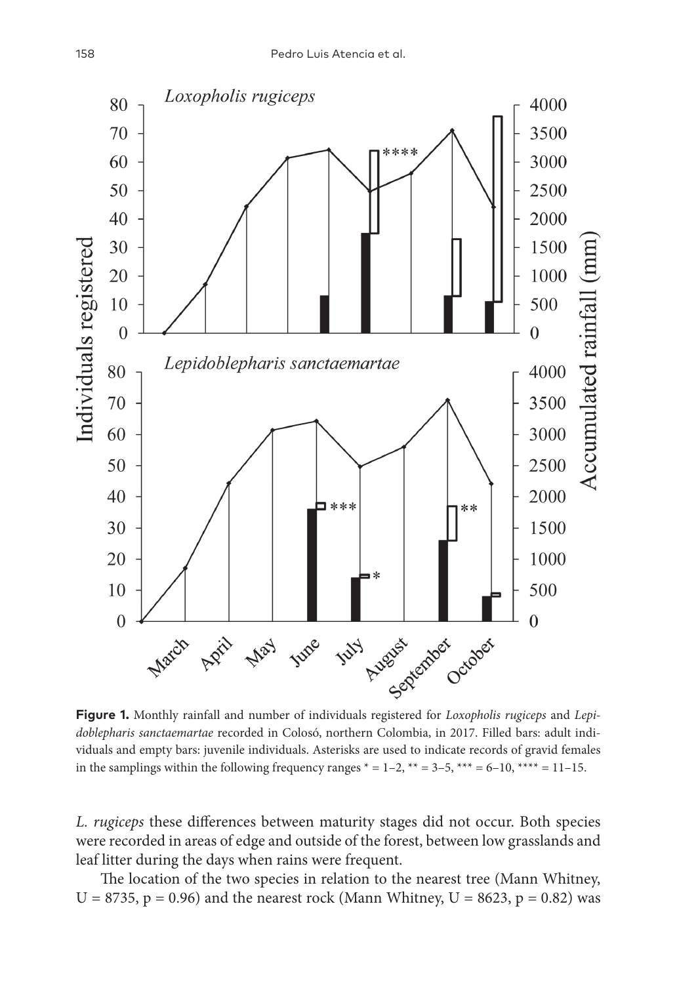

**Figure 1.** Monthly rainfall and number of individuals registered for *Loxopholis rugiceps* and *Lepidoblepharis sanctaemartae* recorded in Colosó, northern Colombia, in 2017. Filled bars: adult individuals and empty bars: juvenile individuals. Asterisks are used to indicate records of gravid females in the samplings within the following frequency ranges  $* = 1-2$ ,  $** = 3-5$ ,  $*** = 6-10$ ,  $*** = 11-15$ .

*L. rugiceps* these differences between maturity stages did not occur. Both species were recorded in areas of edge and outside of the forest, between low grasslands and leaf litter during the days when rains were frequent.

The location of the two species in relation to the nearest tree (Mann Whitney, U = 8735, p = 0.96) and the nearest rock (Mann Whitney, U = 8623, p = 0.82) was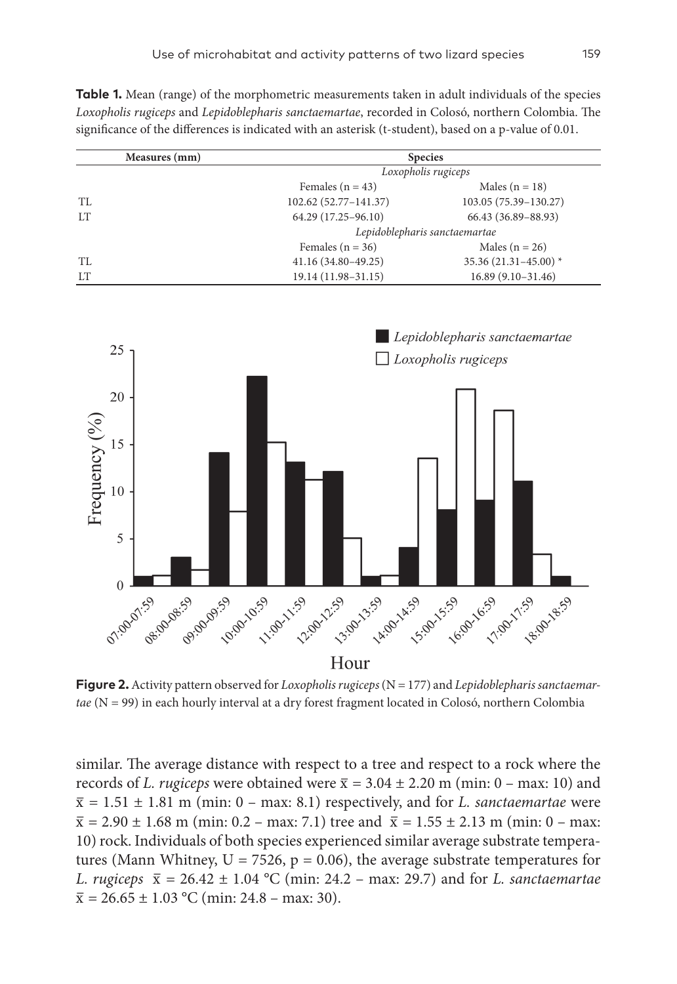**Table 1.** Mean (range) of the morphometric measurements taken in adult individuals of the species *Loxopholis rugiceps* and *Lepidoblepharis sanctaemartae*, recorded in Colosó, northern Colombia. The significance of the differences is indicated with an asterisk (t-student), based on a p-value of 0.01.

| Measures (mm) | <b>Species</b>                             |                         |  |
|---------------|--------------------------------------------|-------------------------|--|
|               | Loxopholis rugiceps                        |                         |  |
|               | Females $(n = 43)$                         | Males ( $n = 18$ )      |  |
| TL            | 102.62 (52.77-141.37)                      | 103.05 (75.39-130.27)   |  |
| LT            | 64.29 (17.25-96.10)                        | 66.43 (36.89-88.93)     |  |
|               | Lepidoblepharis sanctaemartae              |                         |  |
|               | Females ( $n = 36$ )                       | Males ( $n = 26$ )      |  |
| TL            | 41.16 (34.80-49.25)                        | $35.36(21.31 - 45.00)*$ |  |
| LT            | 19.14 (11.98-31.15)<br>$16.89(9.10-31.46)$ |                         |  |



**Figure 2.** Activity pattern observed for *Loxopholis rugiceps* (N = 177) and *Lepidoblepharis sanctaemartae* (N = 99) in each hourly interval at a dry forest fragment located in Colosó, northern Colombia

similar. The average distance with respect to a tree and respect to a rock where the records of *L. rugiceps* were obtained were  $\bar{x} = 3.04 \pm 2.20$  m (min: 0 – max: 10) and  $\bar{x} = 1.51 \pm 1.81$  m (min: 0 – max: 8.1) respectively, and for *L. sanctaemartae* were  $\bar{x} = 2.90 \pm 1.68$  m (min: 0.2 – max: 7.1) tree and  $\bar{x} = 1.55 \pm 2.13$  m (min: 0 – max: 10) rock. Individuals of both species experienced similar average substrate temperatures (Mann Whitney,  $U = 7526$ ,  $p = 0.06$ ), the average substrate temperatures for *L. rugiceps*  $\bar{x} = 26.42 \pm 1.04 \degree C$  (min: 24.2 – max: 29.7) and for *L. sanctaemartae*  $\bar{x} = 26.65 \pm 1.03$  °C (min: 24.8 – max: 30).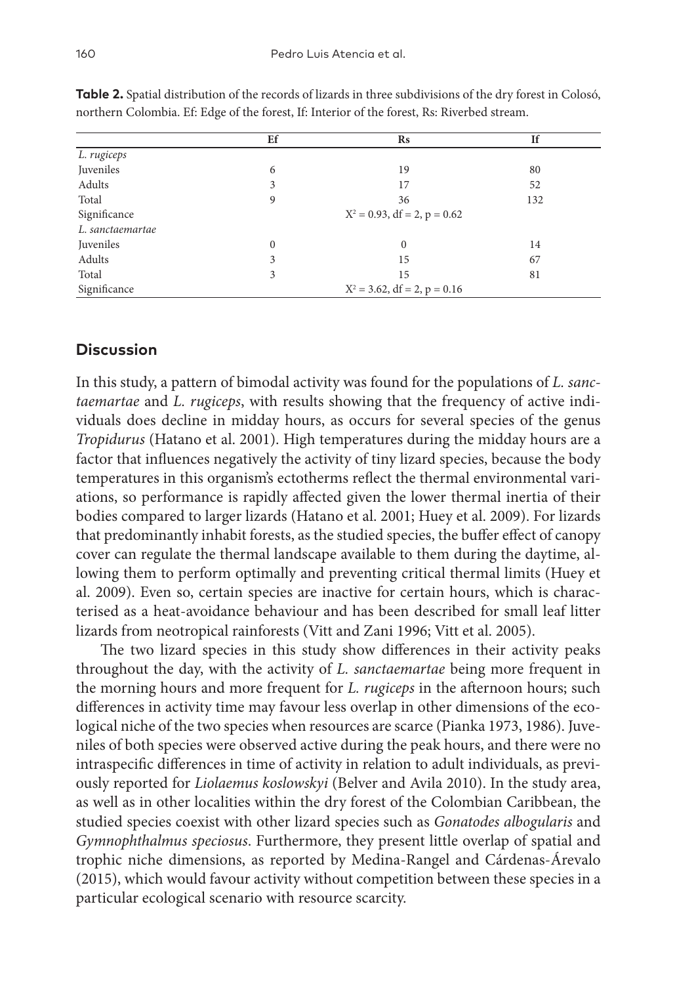|                  | Ef                              | $\mathbf{R}s$ | <b>If</b> |
|------------------|---------------------------------|---------------|-----------|
| L. rugiceps      |                                 |               |           |
| Juveniles        | 6                               | 19            | 80        |
| Adults           | 3                               | 17            | 52        |
| Total            | 9                               | 36            | 132       |
| Significance     | $X^2 = 0.93$ , df = 2, p = 0.62 |               |           |
| L. sanctaemartae |                                 |               |           |
| Juveniles        | $\mathbf{0}$                    | $\mathbf{0}$  | 14        |
| Adults           | 3                               | 15            | 67        |
| Total            | 3                               | 15            | 81        |
| Significance     | $X^2 = 3.62$ , df = 2, p = 0.16 |               |           |

**Table 2.** Spatial distribution of the records of lizards in three subdivisions of the dry forest in Colosó, northern Colombia. Ef: Edge of the forest, If: Interior of the forest, Rs: Riverbed stream.

# **Discussion**

In this study, a pattern of bimodal activity was found for the populations of *L. sanctaemartae* and *L. rugiceps*, with results showing that the frequency of active individuals does decline in midday hours, as occurs for several species of the genus *Tropidurus* (Hatano et al. 2001). High temperatures during the midday hours are a factor that influences negatively the activity of tiny lizard species, because the body temperatures in this organism's ectotherms reflect the thermal environmental variations, so performance is rapidly affected given the lower thermal inertia of their bodies compared to larger lizards (Hatano et al. 2001; Huey et al. 2009). For lizards that predominantly inhabit forests, as the studied species, the buffer effect of canopy cover can regulate the thermal landscape available to them during the daytime, allowing them to perform optimally and preventing critical thermal limits (Huey et al. 2009). Even so, certain species are inactive for certain hours, which is characterised as a heat-avoidance behaviour and has been described for small leaf litter lizards from neotropical rainforests (Vitt and Zani 1996; Vitt et al. 2005).

The two lizard species in this study show differences in their activity peaks throughout the day, with the activity of *L. sanctaemartae* being more frequent in the morning hours and more frequent for *L. rugiceps* in the afternoon hours; such differences in activity time may favour less overlap in other dimensions of the ecological niche of the two species when resources are scarce (Pianka 1973, 1986). Juveniles of both species were observed active during the peak hours, and there were no intraspecific differences in time of activity in relation to adult individuals, as previously reported for *Liolaemus koslowskyi* (Belver and Avila 2010). In the study area, as well as in other localities within the dry forest of the Colombian Caribbean, the studied species coexist with other lizard species such as *Gonatodes albogularis* and *Gymnophthalmus speciosus*. Furthermore, they present little overlap of spatial and trophic niche dimensions, as reported by Medina-Rangel and Cárdenas-Árevalo (2015), which would favour activity without competition between these species in a particular ecological scenario with resource scarcity.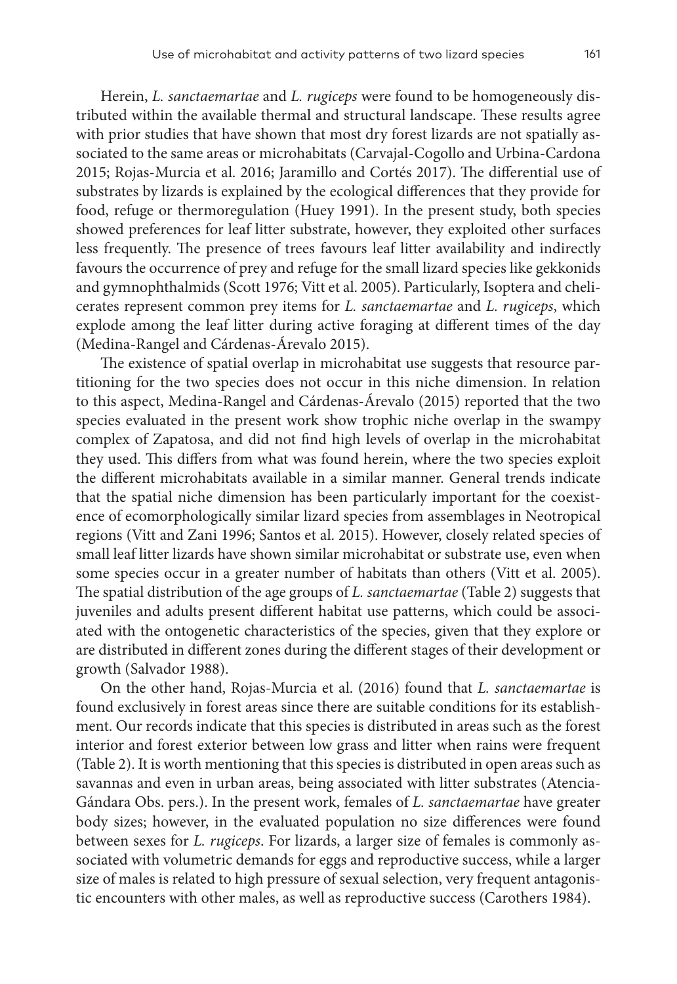Herein, *L. sanctaemartae* and *L. rugiceps* were found to be homogeneously distributed within the available thermal and structural landscape. These results agree with prior studies that have shown that most dry forest lizards are not spatially associated to the same areas or microhabitats (Carvajal-Cogollo and Urbina-Cardona 2015; Rojas-Murcia et al. 2016; Jaramillo and Cortés 2017). The differential use of substrates by lizards is explained by the ecological differences that they provide for food, refuge or thermoregulation (Huey 1991). In the present study, both species showed preferences for leaf litter substrate, however, they exploited other surfaces less frequently. The presence of trees favours leaf litter availability and indirectly favours the occurrence of prey and refuge for the small lizard species like gekkonids and gymnophthalmids (Scott 1976; Vitt et al. 2005). Particularly, Isoptera and chelicerates represent common prey items for *L. sanctaemartae* and *L. rugiceps*, which explode among the leaf litter during active foraging at different times of the day (Medina-Rangel and Cárdenas-Árevalo 2015).

The existence of spatial overlap in microhabitat use suggests that resource partitioning for the two species does not occur in this niche dimension. In relation to this aspect, Medina-Rangel and Cárdenas-Árevalo (2015) reported that the two species evaluated in the present work show trophic niche overlap in the swampy complex of Zapatosa, and did not find high levels of overlap in the microhabitat they used. This differs from what was found herein, where the two species exploit the different microhabitats available in a similar manner. General trends indicate that the spatial niche dimension has been particularly important for the coexistence of ecomorphologically similar lizard species from assemblages in Neotropical regions (Vitt and Zani 1996; Santos et al. 2015). However, closely related species of small leaf litter lizards have shown similar microhabitat or substrate use, even when some species occur in a greater number of habitats than others (Vitt et al. 2005). The spatial distribution of the age groups of *L. sanctaemartae* (Table 2) suggests that juveniles and adults present different habitat use patterns, which could be associated with the ontogenetic characteristics of the species, given that they explore or are distributed in different zones during the different stages of their development or growth (Salvador 1988).

On the other hand, Rojas-Murcia et al. (2016) found that *L. sanctaemartae* is found exclusively in forest areas since there are suitable conditions for its establishment. Our records indicate that this species is distributed in areas such as the forest interior and forest exterior between low grass and litter when rains were frequent (Table 2). It is worth mentioning that this species is distributed in open areas such as savannas and even in urban areas, being associated with litter substrates (Atencia-Gándara Obs. pers.). In the present work, females of *L. sanctaemartae* have greater body sizes; however, in the evaluated population no size differences were found between sexes for *L. rugiceps*. For lizards, a larger size of females is commonly associated with volumetric demands for eggs and reproductive success, while a larger size of males is related to high pressure of sexual selection, very frequent antagonistic encounters with other males, as well as reproductive success (Carothers 1984).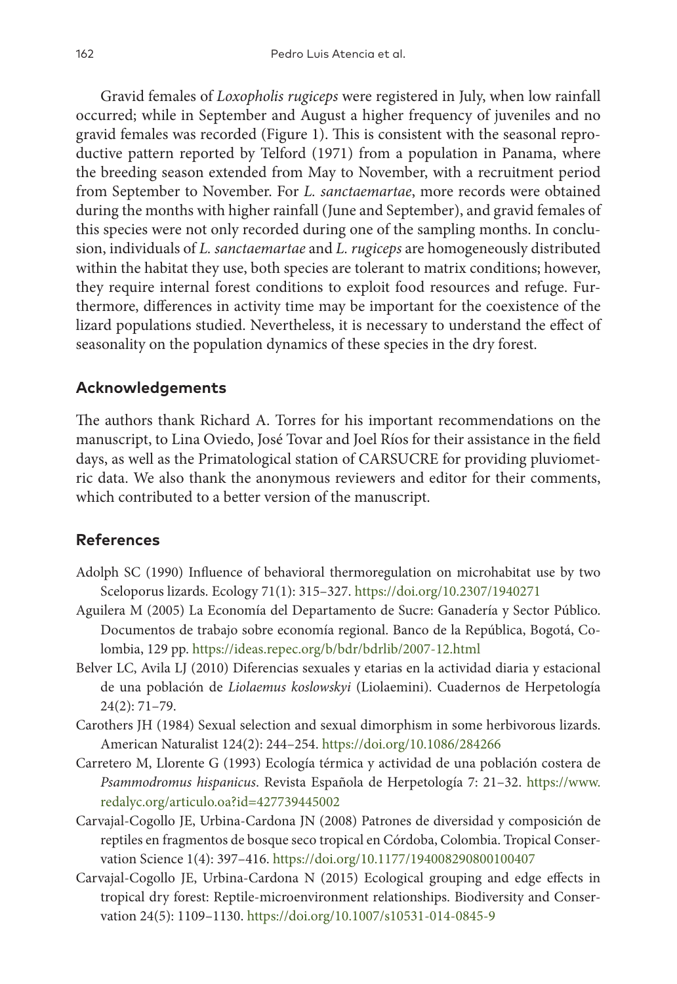Gravid females of *Loxopholis rugiceps* were registered in July, when low rainfall occurred; while in September and August a higher frequency of juveniles and no gravid females was recorded (Figure 1). This is consistent with the seasonal reproductive pattern reported by Telford (1971) from a population in Panama, where the breeding season extended from May to November, with a recruitment period from September to November. For *L. sanctaemartae*, more records were obtained during the months with higher rainfall (June and September), and gravid females of this species were not only recorded during one of the sampling months. In conclusion, individuals of *L. sanctaemartae* and *L. rugiceps* are homogeneously distributed within the habitat they use, both species are tolerant to matrix conditions; however, they require internal forest conditions to exploit food resources and refuge. Furthermore, differences in activity time may be important for the coexistence of the lizard populations studied. Nevertheless, it is necessary to understand the effect of seasonality on the population dynamics of these species in the dry forest.

# **Acknowledgements**

The authors thank Richard A. Torres for his important recommendations on the manuscript, to Lina Oviedo, José Tovar and Joel Ríos for their assistance in the field days, as well as the Primatological station of CARSUCRE for providing pluviometric data. We also thank the anonymous reviewers and editor for their comments, which contributed to a better version of the manuscript.

# **References**

- Adolph SC (1990) Influence of behavioral thermoregulation on microhabitat use by two Sceloporus lizards. Ecology 71(1): 315–327.<https://doi.org/10.2307/1940271>
- Aguilera M (2005) La Economía del Departamento de Sucre: Ganadería y Sector Público. Documentos de trabajo sobre economía regional. Banco de la República, Bogotá, Colombia, 129 pp. <https://ideas.repec.org/b/bdr/bdrlib/2007-12.html>
- Belver LC, Avila LJ (2010) Diferencias sexuales y etarias en la actividad diaria y estacional de una población de *Liolaemus koslowskyi* (Liolaemini). Cuadernos de Herpetología 24(2): 71–79.
- Carothers JH (1984) Sexual selection and sexual dimorphism in some herbivorous lizards. American Naturalist 124(2): 244–254. <https://doi.org/10.1086/284266>
- Carretero M, Llorente G (1993) Ecología térmica y actividad de una población costera de *Psammodromus hispanicus*. Revista Española de Herpetología 7: 21–32. [https://www.](https://www.redalyc.org/articulo.oa?id=427739445002) [redalyc.org/articulo.oa?id=427739445002](https://www.redalyc.org/articulo.oa?id=427739445002)
- Carvajal-Cogollo JE, Urbina-Cardona JN (2008) Patrones de diversidad y composición de reptiles en fragmentos de bosque seco tropical en Córdoba, Colombia. Tropical Conservation Science 1(4): 397–416. <https://doi.org/10.1177/194008290800100407>
- Carvajal-Cogollo JE, Urbina-Cardona N (2015) Ecological grouping and edge effects in tropical dry forest: Reptile-microenvironment relationships. Biodiversity and Conservation 24(5): 1109–1130. <https://doi.org/10.1007/s10531-014-0845-9>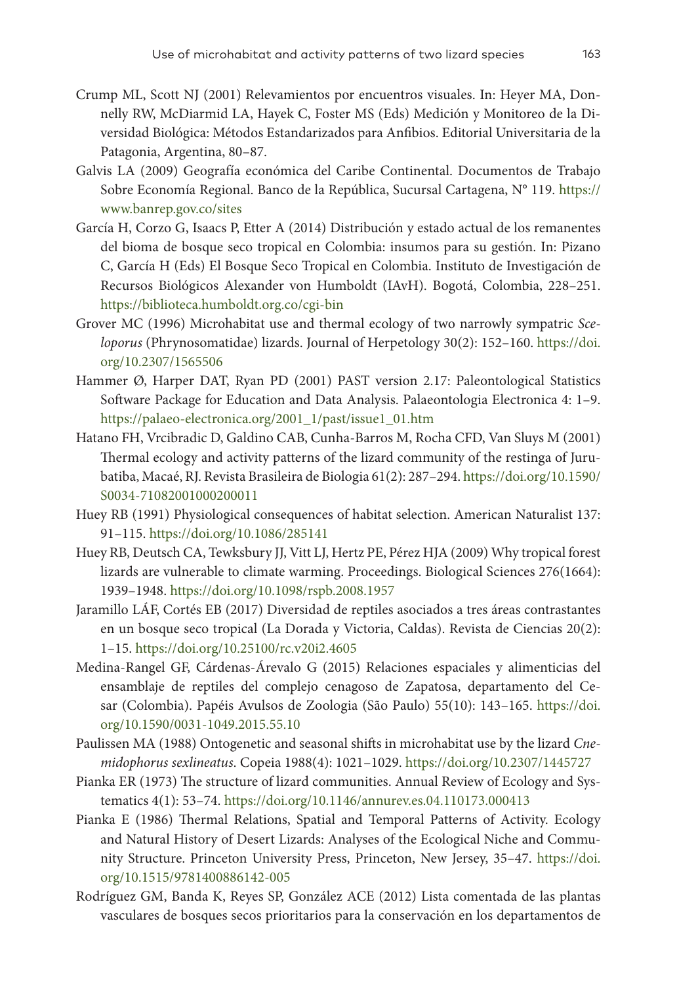- Crump ML, Scott NJ (2001) Relevamientos por encuentros visuales. In: Heyer MA, Donnelly RW, McDiarmid LA, Hayek C, Foster MS (Eds) Medición y Monitoreo de la Diversidad Biológica: Métodos Estandarizados para Anfibios. Editorial Universitaria de la Patagonia, Argentina, 80–87.
- Galvis LA (2009) Geografía económica del Caribe Continental. Documentos de Trabajo Sobre Economía Regional. Banco de la República, Sucursal Cartagena, N° 119. [https://](https://www.banrep.gov.co/sites) [www.banrep.gov.co/sites](https://www.banrep.gov.co/sites)
- García H, Corzo G, Isaacs P, Etter A (2014) Distribución y estado actual de los remanentes del bioma de bosque seco tropical en Colombia: insumos para su gestión. In: Pizano C, García H (Eds) El Bosque Seco Tropical en Colombia. Instituto de Investigación de Recursos Biológicos Alexander von Humboldt (IAvH). Bogotá, Colombia, 228–251. <https://biblioteca.humboldt.org.co/cgi-bin>
- Grover MC (1996) Microhabitat use and thermal ecology of two narrowly sympatric *Sceloporus* (Phrynosomatidae) lizards. Journal of Herpetology 30(2): 152–160. [https://doi.](https://doi.org/10.2307/1565506) [org/10.2307/1565506](https://doi.org/10.2307/1565506)
- Hammer Ø, Harper DAT, Ryan PD (2001) PAST version 2.17: Paleontological Statistics Software Package for Education and Data Analysis. Palaeontologia Electronica 4: 1–9. [https://palaeo-electronica.org/2001\\_1/past/issue1\\_01.htm](https://palaeo-electronica.org/2001_1/past/issue1_01.htm)
- Hatano FH, Vrcibradic D, Galdino CAB, Cunha-Barros M, Rocha CFD, Van Sluys M (2001) Thermal ecology and activity patterns of the lizard community of the restinga of Jurubatiba, Macaé, RJ. Revista Brasileira de Biologia 61(2): 287–294. [https://doi.org/10.1590/](https://doi.org/10.1590/S0034-71082001000200011) [S0034-71082001000200011](https://doi.org/10.1590/S0034-71082001000200011)
- Huey RB (1991) Physiological consequences of habitat selection. American Naturalist 137: 91–115.<https://doi.org/10.1086/285141>
- Huey RB, Deutsch CA, Tewksbury JJ, Vitt LJ, Hertz PE, Pérez HJA (2009) Why tropical forest lizards are vulnerable to climate warming. Proceedings. Biological Sciences 276(1664): 1939–1948. <https://doi.org/10.1098/rspb.2008.1957>
- Jaramillo LÁF, Cortés EB (2017) Diversidad de reptiles asociados a tres áreas contrastantes en un bosque seco tropical (La Dorada y Victoria, Caldas). Revista de Ciencias 20(2): 1–15. <https://doi.org/10.25100/rc.v20i2.4605>
- Medina-Rangel GF, Cárdenas-Árevalo G (2015) Relaciones espaciales y alimenticias del ensamblaje de reptiles del complejo cenagoso de Zapatosa, departamento del Cesar (Colombia). Papéis Avulsos de Zoologia (São Paulo) 55(10): 143–165. [https://doi.](https://doi.org/10.1590/0031-1049.2015.55.10) [org/10.1590/0031-1049.2015.55.10](https://doi.org/10.1590/0031-1049.2015.55.10)
- Paulissen MA (1988) Ontogenetic and seasonal shifts in microhabitat use by the lizard *Cnemidophorus sexlineatus*. Copeia 1988(4): 1021–1029.<https://doi.org/10.2307/1445727>
- Pianka ER (1973) The structure of lizard communities. Annual Review of Ecology and Systematics 4(1): 53–74.<https://doi.org/10.1146/annurev.es.04.110173.000413>
- Pianka E (1986) Thermal Relations, Spatial and Temporal Patterns of Activity. Ecology and Natural History of Desert Lizards: Analyses of the Ecological Niche and Community Structure. Princeton University Press, Princeton, New Jersey, 35–47. [https://doi.](https://doi.org/10.1515/9781400886142-005) [org/10.1515/9781400886142-005](https://doi.org/10.1515/9781400886142-005)
- Rodríguez GM, Banda K, Reyes SP, González ACE (2012) Lista comentada de las plantas vasculares de bosques secos prioritarios para la conservación en los departamentos de